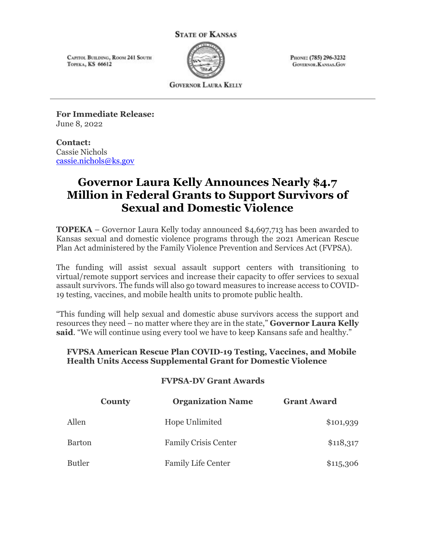#### **STATE OF KANSAS**

CAPITOL BUILDING, ROOM 241 SOUTH TOPEKA, KS 66612



PHONE: (785) 296-3232 **GOVERNOR, KANSAS, GOV** 

**GOVERNOR LAURA KELLY** 

**For Immediate Release:**      June 8, 2022

### **Contact:**      Cassie Nichols [cassie.nichols@ks.gov](mailto:cassie.nichols@ks.gov)

# **Governor Laura Kelly Announces Nearly \$4.7 Million in Federal Grants to Support Survivors of Sexual and Domestic Violence**

**TOPEKA** – Governor Laura Kelly today announced \$4,697,713 has been awarded to Kansas sexual and domestic violence programs through the 2021 American Rescue Plan Act administered by the Family Violence Prevention and Services Act (FVPSA).

The funding will assist sexual assault support centers with transitioning to virtual/remote support services and increase their capacity to offer services to sexual assault survivors. The funds will also go toward measures to increase access to COVID-19 testing, vaccines, and mobile health units to promote public health.

"This funding will help sexual and domestic abuse survivors access the support and resources they need – no matter where they are in the state," **Governor Laura Kelly said**. "We will continue using every tool we have to keep Kansans safe and healthy."

### **FVPSA American Rescue Plan COVID-19 Testing, Vaccines, and Mobile Health Units Access Supplemental Grant for Domestic Violence**

### **FVPSA-DV Grant Awards**

| <b>County</b> | <b>Organization Name</b>    | <b>Grant Award</b> |
|---------------|-----------------------------|--------------------|
| Allen         | Hope Unlimited              | \$101,939          |
| Barton        | <b>Family Crisis Center</b> | \$118,317          |
| Butler        | <b>Family Life Center</b>   | \$115,306          |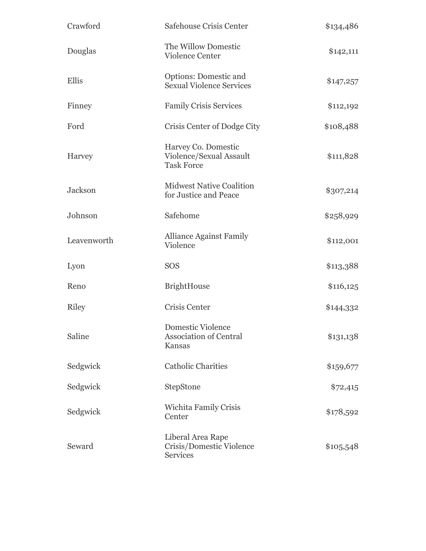| Crawford     | Safehouse Crisis Center                                                    | \$134,486 |
|--------------|----------------------------------------------------------------------------|-----------|
| Douglas      | The Willow Domestic<br><b>Violence Center</b>                              | \$142,111 |
| Ellis        | Options: Domestic and<br><b>Sexual Violence Services</b>                   | \$147,257 |
| Finney       | <b>Family Crisis Services</b>                                              | \$112,192 |
| Ford         | Crisis Center of Dodge City                                                | \$108,488 |
| Harvey       | Harvey Co. Domestic<br>Violence/Sexual Assault<br><b>Task Force</b>        | \$111,828 |
| Jackson      | <b>Midwest Native Coalition</b><br>for Justice and Peace                   | \$307,214 |
| Johnson      | Safehome                                                                   | \$258,929 |
| Leavenworth  | <b>Alliance Against Family</b><br>Violence                                 | \$112,001 |
| Lyon         | <b>SOS</b>                                                                 | \$113,388 |
| Reno         | <b>BrightHouse</b>                                                         | \$116,125 |
| <b>Riley</b> | Crisis Center                                                              | \$144,332 |
| Saline       | <b>Domestic Violence</b><br><b>Association of Central</b><br><b>Kansas</b> | \$131,138 |
| Sedgwick     | <b>Catholic Charities</b>                                                  | \$159,677 |
| Sedgwick     | StepStone                                                                  | \$72,415  |
| Sedgwick     | Wichita Family Crisis<br>Center                                            | \$178,592 |
| Seward       | Liberal Area Rape<br>Crisis/Domestic Violence<br><b>Services</b>           | \$105,548 |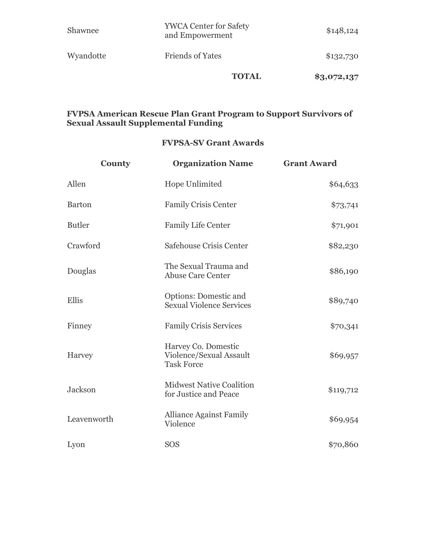|           | <b>TOTAL</b>                                     | \$3,072,137 |
|-----------|--------------------------------------------------|-------------|
| Wyandotte | <b>Friends of Yates</b>                          | \$132,730   |
| Shawnee   | <b>YWCA Center for Safety</b><br>and Empowerment | \$148,124   |

### **FVPSA American Rescue Plan Grant Program to Support Survivors of Sexual Assault Supplemental Funding**

## **FVPSA-SV Grant Awards**

| <b>County</b> | <b>Organization Name</b>                                            | <b>Grant Award</b> |
|---------------|---------------------------------------------------------------------|--------------------|
| Allen         | <b>Hope Unlimited</b>                                               | \$64,633           |
| <b>Barton</b> | <b>Family Crisis Center</b>                                         | \$73,741           |
| <b>Butler</b> | <b>Family Life Center</b>                                           | \$71,901           |
| Crawford      | Safehouse Crisis Center                                             | \$82,230           |
| Douglas       | The Sexual Trauma and<br><b>Abuse Care Center</b>                   | \$86,190           |
| Ellis         | <b>Options: Domestic and</b><br><b>Sexual Violence Services</b>     | \$89,740           |
| Finney        | <b>Family Crisis Services</b>                                       | \$70,341           |
| Harvey        | Harvey Co. Domestic<br>Violence/Sexual Assault<br><b>Task Force</b> | \$69,957           |
| Jackson       | <b>Midwest Native Coalition</b><br>for Justice and Peace            | \$119,712          |
| Leavenworth   | <b>Alliance Against Family</b><br>Violence                          | \$69,954           |
| Lyon          | <b>SOS</b>                                                          | \$70,860           |